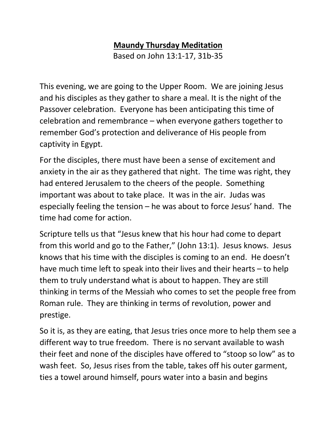## **Maundy Thursday Meditation**

Based on John 13:1-17, 31b-35

This evening, we are going to the Upper Room. We are joining Jesus and his disciples as they gather to share a meal. It is the night of the Passover celebration. Everyone has been anticipating this time of celebration and remembrance – when everyone gathers together to remember God's protection and deliverance of His people from captivity in Egypt.

For the disciples, there must have been a sense of excitement and anxiety in the air as they gathered that night. The time was right, they had entered Jerusalem to the cheers of the people. Something important was about to take place. It was in the air. Judas was especially feeling the tension – he was about to force Jesus' hand. The time had come for action.

Scripture tells us that "Jesus knew that his hour had come to depart from this world and go to the Father," (John 13:1). Jesus knows. Jesus knows that his time with the disciples is coming to an end. He doesn't have much time left to speak into their lives and their hearts – to help them to truly understand what is about to happen. They are still thinking in terms of the Messiah who comes to set the people free from Roman rule. They are thinking in terms of revolution, power and prestige.

So it is, as they are eating, that Jesus tries once more to help them see a different way to true freedom. There is no servant available to wash their feet and none of the disciples have offered to "stoop so low" as to wash feet. So, Jesus rises from the table, takes off his outer garment, ties a towel around himself, pours water into a basin and begins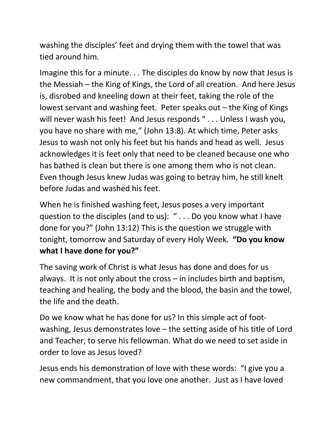washing the disciples' feet and drying them with the towel that was tied around him.

Imagine this for a minute. . . The disciples do know by now that Jesus is the Messiah – the King of Kings, the Lord of all creation. And here Jesus is, disrobed and kneeling down at their feet, taking the role of the lowest servant and washing feet. Peter speaks out – the King of Kings will never wash his feet! And Jesus responds " . . . Unless I wash you, you have no share with me," (John 13:8). At which time, Peter asks Jesus to wash not only his feet but his hands and head as well. Jesus acknowledges it is feet only that need to be cleaned because one who has bathed is clean but there is one among them who is not clean. Even though Jesus knew Judas was going to betray him, he still knelt before Judas and washed his feet.

When he is finished washing feet, Jesus poses a very important question to the disciples (and to us): " . . . Do you know what I have done for you?" (John 13:12) This is the question we struggle with tonight, tomorrow and Saturday of every Holy Week. **"Do you know what I have done for you?"** 

The saving work of Christ is what Jesus has done and does for us always. It is not only about the cross – in includes birth and baptism, teaching and healing, the body and the blood, the basin and the towel, the life and the death.

Do we know what he has done for us? In this simple act of footwashing, Jesus demonstrates love – the setting aside of his title of Lord and Teacher, to serve his fellowman. What do we need to set aside in order to love as Jesus loved?

Jesus ends his demonstration of love with these words: "I give you a new commandment, that you love one another. Just as I have loved